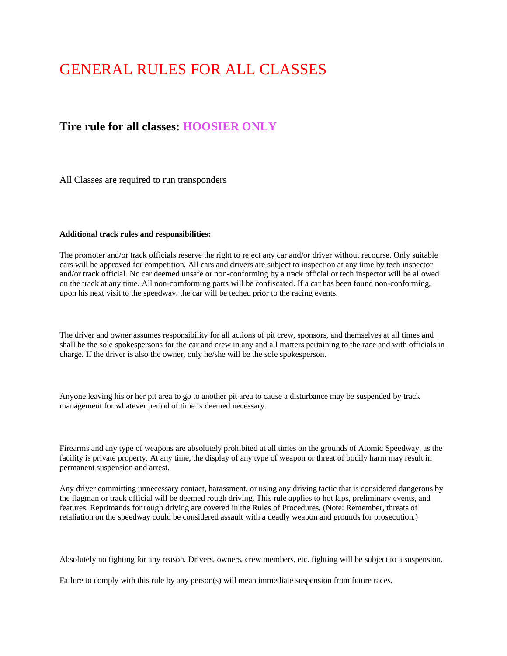# GENERAL RULES FOR ALL CLASSES

# **Tire rule for all classes: HOOSIER ONLY**

All Classes are required to run transponders

#### **Additional track rules and responsibilities:**

The promoter and/or track officials reserve the right to reject any car and/or driver without recourse. Only suitable cars will be approved for competition. All cars and drivers are subject to inspection at any time by tech inspector and/or track official. No car deemed unsafe or non-conforming by a track official or tech inspector will be allowed on the track at any time. All non-comforming parts will be confiscated. If a car has been found non-conforming, upon his next visit to the speedway, the car will be teched prior to the racing events.

The driver and owner assumes responsibility for all actions of pit crew, sponsors, and themselves at all times and shall be the sole spokespersons for the car and crew in any and all matters pertaining to the race and with officials in charge. If the driver is also the owner, only he/she will be the sole spokesperson.

Anyone leaving his or her pit area to go to another pit area to cause a disturbance may be suspended by track management for whatever period of time is deemed necessary.

Firearms and any type of weapons are absolutely prohibited at all times on the grounds of Atomic Speedway, as the facility is private property. At any time, the display of any type of weapon or threat of bodily harm may result in permanent suspension and arrest.

Any driver committing unnecessary contact, harassment, or using any driving tactic that is considered dangerous by the flagman or track official will be deemed rough driving. This rule applies to hot laps, preliminary events, and features. Reprimands for rough driving are covered in the Rules of Procedures. (Note: Remember, threats of retaliation on the speedway could be considered assault with a deadly weapon and grounds for prosecution.)

Absolutely no fighting for any reason. Drivers, owners, crew members, etc. fighting will be subject to a suspension.

Failure to comply with this rule by any person(s) will mean immediate suspension from future races.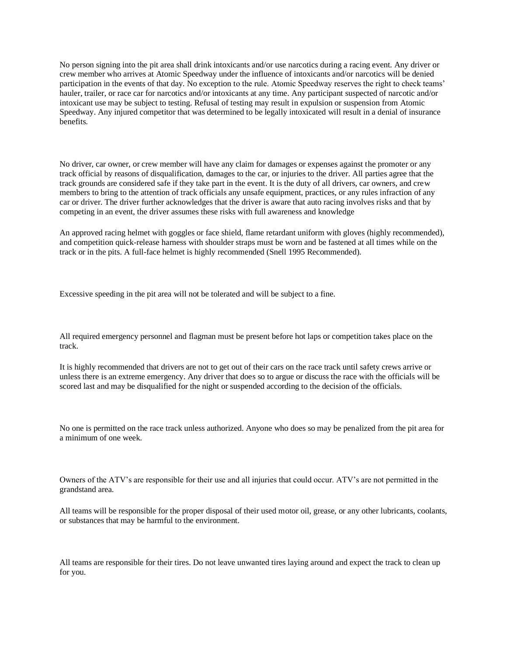No person signing into the pit area shall drink intoxicants and/or use narcotics during a racing event. Any driver or crew member who arrives at Atomic Speedway under the influence of intoxicants and/or narcotics will be denied participation in the events of that day. No exception to the rule. Atomic Speedway reserves the right to check teams' hauler, trailer, or race car for narcotics and/or intoxicants at any time. Any participant suspected of narcotic and/or intoxicant use may be subject to testing. Refusal of testing may result in expulsion or suspension from Atomic Speedway. Any injured competitor that was determined to be legally intoxicated will result in a denial of insurance benefits.

No driver, car owner, or crew member will have any claim for damages or expenses against the promoter or any track official by reasons of disqualification, damages to the car, or injuries to the driver. All parties agree that the track grounds are considered safe if they take part in the event. It is the duty of all drivers, car owners, and crew members to bring to the attention of track officials any unsafe equipment, practices, or any rules infraction of any car or driver. The driver further acknowledges that the driver is aware that auto racing involves risks and that by competing in an event, the driver assumes these risks with full awareness and knowledge

An approved racing helmet with goggles or face shield, flame retardant uniform with gloves (highly recommended), and competition quick-release harness with shoulder straps must be worn and be fastened at all times while on the track or in the pits. A full-face helmet is highly recommended (Snell 1995 Recommended).

Excessive speeding in the pit area will not be tolerated and will be subject to a fine.

All required emergency personnel and flagman must be present before hot laps or competition takes place on the track.

It is highly recommended that drivers are not to get out of their cars on the race track until safety crews arrive or unless there is an extreme emergency. Any driver that does so to argue or discuss the race with the officials will be scored last and may be disqualified for the night or suspended according to the decision of the officials.

No one is permitted on the race track unless authorized. Anyone who does so may be penalized from the pit area for a minimum of one week.

Owners of the ATV's are responsible for their use and all injuries that could occur. ATV's are not permitted in the grandstand area.

All teams will be responsible for the proper disposal of their used motor oil, grease, or any other lubricants, coolants, or substances that may be harmful to the environment.

All teams are responsible for their tires. Do not leave unwanted tires laying around and expect the track to clean up for you.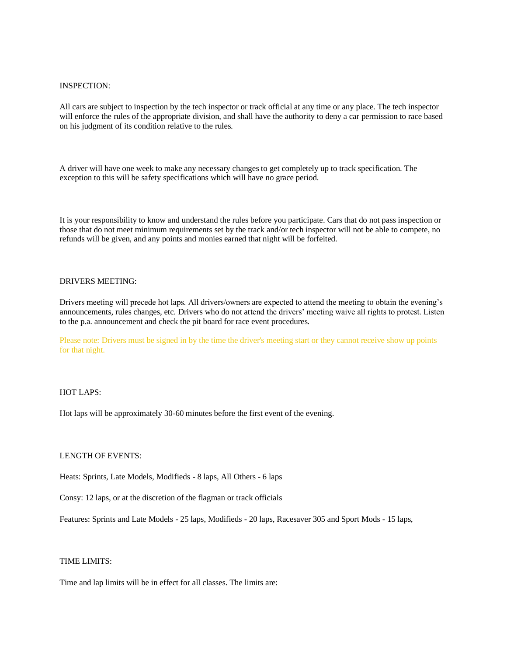#### INSPECTION:

All cars are subject to inspection by the tech inspector or track official at any time or any place. The tech inspector will enforce the rules of the appropriate division, and shall have the authority to deny a car permission to race based on his judgment of its condition relative to the rules.

A driver will have one week to make any necessary changes to get completely up to track specification. The exception to this will be safety specifications which will have no grace period.

It is your responsibility to know and understand the rules before you participate. Cars that do not pass inspection or those that do not meet minimum requirements set by the track and/or tech inspector will not be able to compete, no refunds will be given, and any points and monies earned that night will be forfeited.

#### DRIVERS MEETING:

Drivers meeting will precede hot laps. All drivers/owners are expected to attend the meeting to obtain the evening's announcements, rules changes, etc. Drivers who do not attend the drivers' meeting waive all rights to protest. Listen to the p.a. announcement and check the pit board for race event procedures.

Please note: Drivers must be signed in by the time the driver's meeting start or they cannot receive show up points for that night.

### HOT LAPS:

Hot laps will be approximately 30-60 minutes before the first event of the evening.

### LENGTH OF EVENTS:

Heats: Sprints, Late Models, Modifieds - 8 laps, All Others - 6 laps

Consy: 12 laps, or at the discretion of the flagman or track officials

Features: Sprints and Late Models - 25 laps, Modifieds - 20 laps, Racesaver 305 and Sport Mods - 15 laps,

#### TIME LIMITS:

Time and lap limits will be in effect for all classes. The limits are: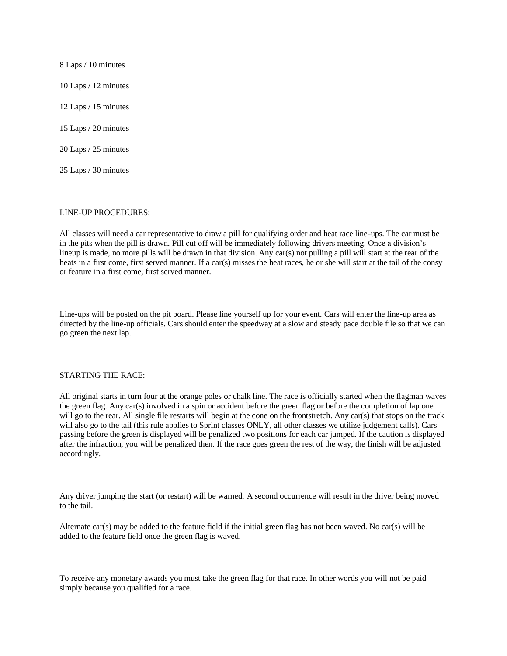8 Laps / 10 minutes 10 Laps / 12 minutes 12 Laps / 15 minutes 15 Laps / 20 minutes 20 Laps / 25 minutes 25 Laps / 30 minutes

#### LINE-UP PROCEDURES:

All classes will need a car representative to draw a pill for qualifying order and heat race line-ups. The car must be in the pits when the pill is drawn. Pill cut off will be immediately following drivers meeting. Once a division's lineup is made, no more pills will be drawn in that division. Any car(s) not pulling a pill will start at the rear of the heats in a first come, first served manner. If a car(s) misses the heat races, he or she will start at the tail of the consy or feature in a first come, first served manner.

Line-ups will be posted on the pit board. Please line yourself up for your event. Cars will enter the line-up area as directed by the line-up officials. Cars should enter the speedway at a slow and steady pace double file so that we can go green the next lap.

#### STARTING THE RACE:

All original starts in turn four at the orange poles or chalk line. The race is officially started when the flagman waves the green flag. Any car(s) involved in a spin or accident before the green flag or before the completion of lap one will go to the rear. All single file restarts will begin at the cone on the frontstretch. Any car(s) that stops on the track will also go to the tail (this rule applies to Sprint classes ONLY, all other classes we utilize judgement calls). Cars passing before the green is displayed will be penalized two positions for each car jumped. If the caution is displayed after the infraction, you will be penalized then. If the race goes green the rest of the way, the finish will be adjusted accordingly.

Any driver jumping the start (or restart) will be warned. A second occurrence will result in the driver being moved to the tail.

Alternate car(s) may be added to the feature field if the initial green flag has not been waved. No car(s) will be added to the feature field once the green flag is waved.

To receive any monetary awards you must take the green flag for that race. In other words you will not be paid simply because you qualified for a race.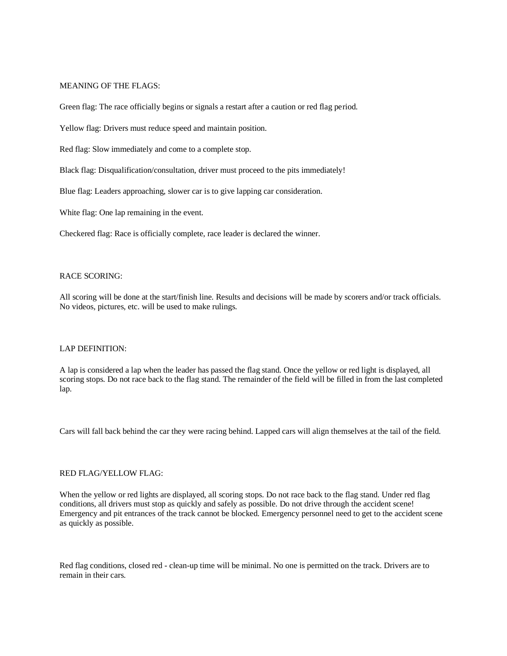#### MEANING OF THE FLAGS:

Green flag: The race officially begins or signals a restart after a caution or red flag period.

Yellow flag: Drivers must reduce speed and maintain position.

Red flag: Slow immediately and come to a complete stop.

Black flag: Disqualification/consultation, driver must proceed to the pits immediately!

Blue flag: Leaders approaching, slower car is to give lapping car consideration.

White flag: One lap remaining in the event.

Checkered flag: Race is officially complete, race leader is declared the winner.

#### RACE SCORING:

All scoring will be done at the start/finish line. Results and decisions will be made by scorers and/or track officials. No videos, pictures, etc. will be used to make rulings.

#### LAP DEFINITION:

A lap is considered a lap when the leader has passed the flag stand. Once the yellow or red light is displayed, all scoring stops. Do not race back to the flag stand. The remainder of the field will be filled in from the last completed lap.

Cars will fall back behind the car they were racing behind. Lapped cars will align themselves at the tail of the field.

### RED FLAG/YELLOW FLAG:

When the yellow or red lights are displayed, all scoring stops. Do not race back to the flag stand. Under red flag conditions, all drivers must stop as quickly and safely as possible. Do not drive through the accident scene! Emergency and pit entrances of the track cannot be blocked. Emergency personnel need to get to the accident scene as quickly as possible.

Red flag conditions, closed red - clean-up time will be minimal. No one is permitted on the track. Drivers are to remain in their cars.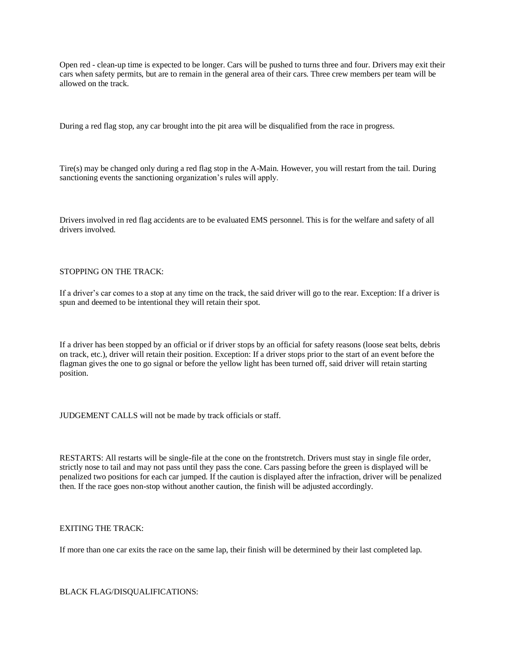Open red - clean-up time is expected to be longer. Cars will be pushed to turns three and four. Drivers may exit their cars when safety permits, but are to remain in the general area of their cars. Three crew members per team will be allowed on the track.

During a red flag stop, any car brought into the pit area will be disqualified from the race in progress.

Tire(s) may be changed only during a red flag stop in the A-Main. However, you will restart from the tail. During sanctioning events the sanctioning organization's rules will apply.

Drivers involved in red flag accidents are to be evaluated EMS personnel. This is for the welfare and safety of all drivers involved.

#### STOPPING ON THE TRACK:

If a driver's car comes to a stop at any time on the track, the said driver will go to the rear. Exception: If a driver is spun and deemed to be intentional they will retain their spot.

If a driver has been stopped by an official or if driver stops by an official for safety reasons (loose seat belts, debris on track, etc.), driver will retain their position. Exception: If a driver stops prior to the start of an event before the flagman gives the one to go signal or before the yellow light has been turned off, said driver will retain starting position.

JUDGEMENT CALLS will not be made by track officials or staff.

RESTARTS: All restarts will be single-file at the cone on the frontstretch. Drivers must stay in single file order, strictly nose to tail and may not pass until they pass the cone. Cars passing before the green is displayed will be penalized two positions for each car jumped. If the caution is displayed after the infraction, driver will be penalized then. If the race goes non-stop without another caution, the finish will be adjusted accordingly.

# EXITING THE TRACK:

If more than one car exits the race on the same lap, their finish will be determined by their last completed lap.

BLACK FLAG/DISQUALIFICATIONS: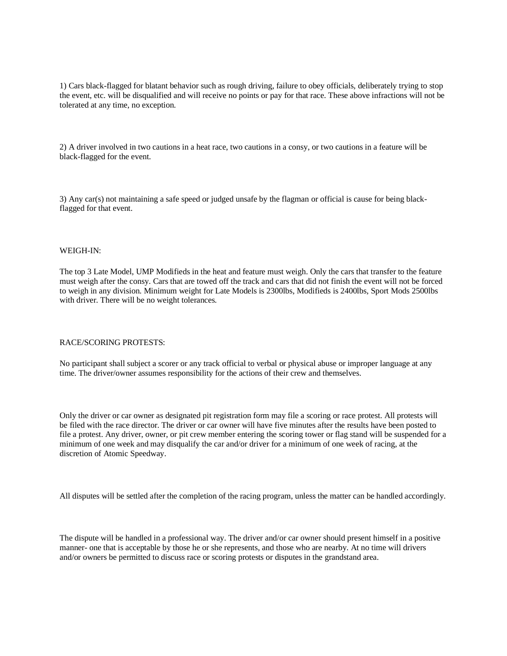1) Cars black-flagged for blatant behavior such as rough driving, failure to obey officials, deliberately trying to stop the event, etc. will be disqualified and will receive no points or pay for that race. These above infractions will not be tolerated at any time, no exception.

2) A driver involved in two cautions in a heat race, two cautions in a consy, or two cautions in a feature will be black-flagged for the event.

3) Any car(s) not maintaining a safe speed or judged unsafe by the flagman or official is cause for being blackflagged for that event.

#### WEIGH-IN:

The top 3 Late Model, UMP Modifieds in the heat and feature must weigh. Only the cars that transfer to the feature must weigh after the consy. Cars that are towed off the track and cars that did not finish the event will not be forced to weigh in any division. Minimum weight for Late Models is 2300lbs, Modifieds is 2400lbs, Sport Mods 2500lbs with driver. There will be no weight tolerances.

#### RACE/SCORING PROTESTS:

No participant shall subject a scorer or any track official to verbal or physical abuse or improper language at any time. The driver/owner assumes responsibility for the actions of their crew and themselves.

Only the driver or car owner as designated pit registration form may file a scoring or race protest. All protests will be filed with the race director. The driver or car owner will have five minutes after the results have been posted to file a protest. Any driver, owner, or pit crew member entering the scoring tower or flag stand will be suspended for a minimum of one week and may disqualify the car and/or driver for a minimum of one week of racing, at the discretion of Atomic Speedway.

All disputes will be settled after the completion of the racing program, unless the matter can be handled accordingly.

The dispute will be handled in a professional way. The driver and/or car owner should present himself in a positive manner- one that is acceptable by those he or she represents, and those who are nearby. At no time will drivers and/or owners be permitted to discuss race or scoring protests or disputes in the grandstand area.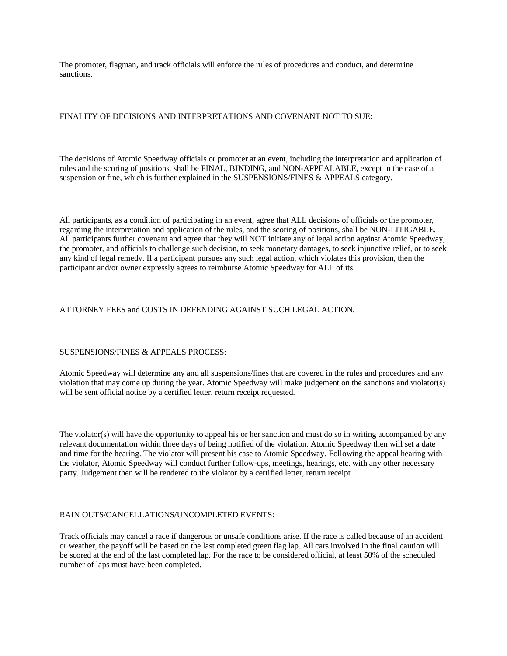The promoter, flagman, and track officials will enforce the rules of procedures and conduct, and determine sanctions.

# FINALITY OF DECISIONS AND INTERPRETATIONS AND COVENANT NOT TO SUE:

The decisions of Atomic Speedway officials or promoter at an event, including the interpretation and application of rules and the scoring of positions, shall be FINAL, BINDING, and NON-APPEALABLE, except in the case of a suspension or fine, which is further explained in the SUSPENSIONS/FINES & APPEALS category.

All participants, as a condition of participating in an event, agree that ALL decisions of officials or the promoter, regarding the interpretation and application of the rules, and the scoring of positions, shall be NON-LITIGABLE. All participants further covenant and agree that they will NOT initiate any of legal action against Atomic Speedway, the promoter, and officials to challenge such decision, to seek monetary damages, to seek injunctive relief, or to seek any kind of legal remedy. If a participant pursues any such legal action, which violates this provision, then the participant and/or owner expressly agrees to reimburse Atomic Speedway for ALL of its

# ATTORNEY FEES and COSTS IN DEFENDING AGAINST SUCH LEGAL ACTION.

# SUSPENSIONS/FINES & APPEALS PROCESS:

Atomic Speedway will determine any and all suspensions/fines that are covered in the rules and procedures and any violation that may come up during the year. Atomic Speedway will make judgement on the sanctions and violator(s) will be sent official notice by a certified letter, return receipt requested.

The violator(s) will have the opportunity to appeal his or her sanction and must do so in writing accompanied by any relevant documentation within three days of being notified of the violation. Atomic Speedway then will set a date and time for the hearing. The violator will present his case to Atomic Speedway. Following the appeal hearing with the violator, Atomic Speedway will conduct further follow-ups, meetings, hearings, etc. with any other necessary party. Judgement then will be rendered to the violator by a certified letter, return receipt

# RAIN OUTS/CANCELLATIONS/UNCOMPLETED EVENTS:

Track officials may cancel a race if dangerous or unsafe conditions arise. If the race is called because of an accident or weather, the payoff will be based on the last completed green flag lap. All cars involved in the final caution will be scored at the end of the last completed lap. For the race to be considered official, at least 50% of the scheduled number of laps must have been completed.